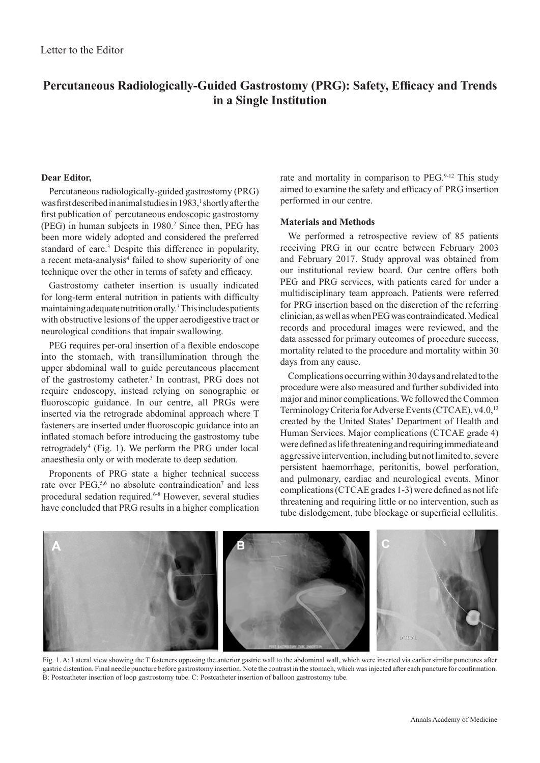# **Percutaneous Radiologically-Guided Gastrostomy (PRG): Safety, Efficacy and Trends in a Single Institution**

## **Dear Editor,**

Percutaneous radiologically-guided gastrostomy (PRG) was first described in animal studies in 1983,<sup>1</sup> shortly after the first publication of  percutaneous endoscopic gastrostomy (PEG) in human subjects in 1980.<sup>2</sup> Since then, PEG has been more widely adopted and considered the preferred standard of care.<sup>3</sup> Despite this difference in popularity, a recent meta-analysis<sup>4</sup> failed to show superiority of one technique over the other in terms of safety and efficacy.

Gastrostomy catheter insertion is usually indicated for long-term enteral nutrition in patients with difficulty maintaining adequate nutrition orally.3 This includes patients with obstructive lesions of the upper aerodigestive tract or neurological conditions that impair swallowing.

PEG requires per-oral insertion of a flexible endoscope into the stomach, with transillumination through the upper abdominal wall to guide percutaneous placement of the gastrostomy catheter.<sup>3</sup> In contrast, PRG does not require endoscopy, instead relying on sonographic or fluoroscopic guidance. In our centre, all PRGs were inserted via the retrograde abdominal approach where T fasteners are inserted under fluoroscopic guidance into an inflated stomach before introducing the gastrostomy tube retrogradely<sup>4</sup> (Fig. 1). We perform the PRG under local anaesthesia only or with moderate to deep sedation.

Proponents of PRG state a higher technical success rate over  $PEG<sub>2</sub><sup>5,6</sup>$  no absolute contraindication<sup>7</sup> and less procedural sedation required.<sup>6-8</sup> However, several studies have concluded that PRG results in a higher complication

rate and mortality in comparison to PEG.<sup>9-12</sup> This study aimed to examine the safety and efficacy of PRG insertion performed in our centre.

## **Materials and Methods**

We performed a retrospective review of 85 patients receiving PRG in our centre between February 2003 and February 2017. Study approval was obtained from our institutional review board. Our centre offers both PEG and PRG services, with patients cared for under a multidisciplinary team approach. Patients were referred for PRG insertion based on the discretion of  the referring clinician, as well as when PEG was contraindicated. Medical records and procedural images were reviewed, and the data assessed for primary outcomes of procedure success, mortality related to the procedure and mortality within 30 days from any cause.

Complications occurring within 30 days and related to the procedure were also measured and further subdivided into major and minor complications. We followed the Common Terminology Criteria for Adverse Events (CTCAE), v4.0,<sup>13</sup> created by the United States' Department of Health and Human Services. Major complications (CTCAE grade 4) were defined as life threatening and requiring immediate and aggressive intervention, including but not limited to, severe persistent haemorrhage, peritonitis, bowel perforation, and pulmonary, cardiac and neurological events. Minor complications (CTCAE grades 1-3) were defined as not life threatening and requiring little or no intervention, such as tube dislodgement, tube blockage or superficial cellulitis.



Fig. 1. A: Lateral view showing the T fasteners opposing the anterior gastric wall to the abdominal wall, which were inserted via earlier similar punctures after gastric distention. Final needle puncture before gastrostomy insertion. Note the contrast in the stomach, which was injected after each puncture for confirmation. B: Postcatheter insertion of loop gastrostomy tube. C: Postcatheter insertion of balloon gastrostomy tube.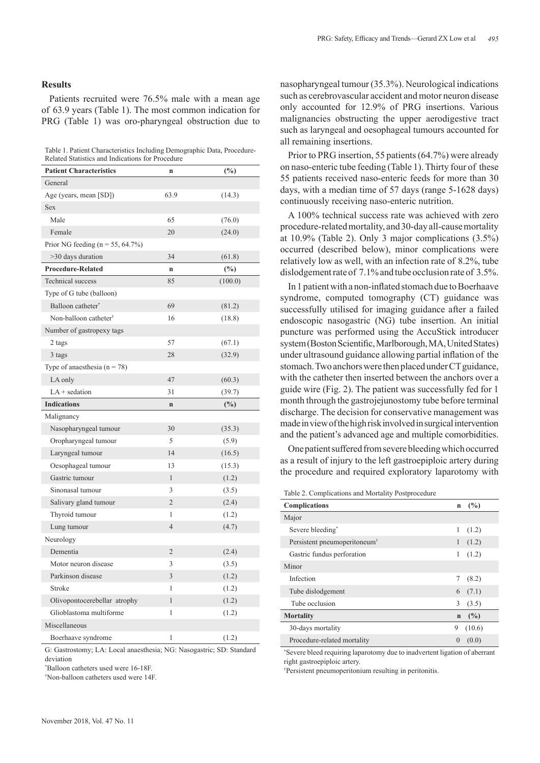Patients recruited were 76.5% male with a mean age of  63.9 years (Table 1). The most common indication for PRG (Table 1) was oro-pharyngeal obstruction due to

Table 1. Patient Characteristics Including Demographic Data, Procedure-Related Statistics and Indications for Procedure

| <b>Patient Characteristics</b>       | n              | $(\%)$  |
|--------------------------------------|----------------|---------|
| General                              |                |         |
| Age (years, mean [SD])               | 63.9           | (14.3)  |
| Sex                                  |                |         |
| Male                                 | 65             | (76.0)  |
| Female                               | 20             | (24.0)  |
| Prior NG feeding ( $n = 55, 64.7\%)$ |                |         |
| >30 days duration                    | 34             | (61.8)  |
| <b>Procedure-Related</b>             | n              | $(\%)$  |
| <b>Technical</b> success             | 85             | (100.0) |
| Type of G tube (balloon)             |                |         |
| Balloon catheter*                    | 69             | (81.2)  |
| Non-balloon catheter <sup>†</sup>    | 16             | (18.8)  |
| Number of gastropexy tags            |                |         |
| 2 tags                               | 57             | (67.1)  |
| 3 tags                               | 28             | (32.9)  |
| Type of anaesthesia $(n = 78)$       |                |         |
| LA only                              | 47             | (60.3)  |
| $LA +$ sedation                      | 31             | (39.7)  |
| <b>Indications</b>                   | $\mathbf n$    | $(\%)$  |
| Malignancy                           |                |         |
| Nasopharyngeal tumour                | 30             | (35.3)  |
| Oropharyngeal tumour                 | 5              | (5.9)   |
| Laryngeal tumour                     | 14             | (16.5)  |
| Oesophageal tumour                   | 13             | (15.3)  |
| Gastric tumour                       | 1              | (1.2)   |
| Sinonasal tumour                     | 3              | (3.5)   |
| Salivary gland tumour                | $\overline{2}$ | (2.4)   |
| Thyroid tumour                       | 1              | (1.2)   |
| Lung tumour                          | $\overline{4}$ | (4.7)   |
| Neurology                            |                |         |
| Dementia                             | $\sqrt{2}$     | (2.4)   |
| Motor neuron disease                 | 3              | (3.5)   |
| Parkinson disease                    | 3              | (1.2)   |
| Stroke                               | 1              | (1.2)   |
| Olivopontocerebellar atrophy         | $\mathbf{1}$   | (1.2)   |
| Glioblastoma multiforme              | 1              | (1.2)   |
| Miscellaneous                        |                |         |
| Boerhaave syndrome                   | 1              | (1.2)   |

G: Gastrostomy; LA: Local anaesthesia; NG: Nasogastric; SD: Standard deviation

\* Balloon catheters used were 16-18F.

† Non-balloon catheters used were 14F.

nasopharyngeal tumour (35.3%). Neurological indications such as cerebrovascular accident and motor neuron disease only accounted for 12.9% of PRG insertions. Various malignancies obstructing the upper aerodigestive tract such as laryngeal and oesophageal tumours accounted for all remaining insertions.

Prior to PRG insertion, 55 patients (64.7%) were already on naso-enteric tube feeding (Table 1). Thirty four of these 55 patients received naso-enteric feeds for more than 30 days, with a median time of 57 days (range 5-1628 days) continuously receiving naso-enteric nutrition.

A 100% technical success rate was achieved with zero procedure-related mortality, and 30-day all-cause mortality at 10.9% (Table 2). Only 3 major complications (3.5%) occurred (described below), minor complications were relatively low as well, with an infection rate of  8.2%, tube dislodgement rate of 7.1% and tube occlusion rate of 3.5%.

In 1 patient with a non-inflated stomach due to Boerhaave syndrome, computed tomography (CT) guidance was successfully utilised for imaging guidance after a failed endoscopic nasogastric (NG) tube insertion. An initial puncture was performed using the AccuStick introducer system (Boston Scientific, Marlborough, MA, United States) under ultrasound guidance allowing partial inflation of the stomach. Two anchors were then placed under CT guidance, with the catheter then inserted between the anchors over a guide wire (Fig. 2). The patient was successfully fed for 1 month through the gastrojejunostomy tube before terminal discharge. The decision for conservative management was made in view of the high risk involved in surgical intervention and the patient's advanced age and multiple comorbidities.

One patient suffered from severe bleeding which occurred as a result of injury to the left gastroepiploic artery during the procedure and required exploratory laparotomy with

Table 2. Complications and Mortality Postprocedure

| <b>Complications</b>                     | (%)<br>$\mathbf n$        |  |
|------------------------------------------|---------------------------|--|
| Major                                    |                           |  |
| Severe bleeding <sup>*</sup>             | 1<br>(1.2)                |  |
| Persistent pneumoperitoneum <sup>+</sup> | 1<br>(1.2)                |  |
| Gastric fundus perforation               | 1<br>(1.2)                |  |
| Minor                                    |                           |  |
| Infection                                | (8.2)                     |  |
| Tube dislodgement                        | (7.1)<br>6                |  |
| Tube occlusion                           | 3<br>(3.5)                |  |
| <b>Mortality</b>                         | (%)<br>$\mathbf n$        |  |
| 30-days mortality                        | (10.6)<br>9               |  |
| Procedure-related mortality              | (0.0)<br>$\left( \right)$ |  |

\* Severe bleed requiring laparotomy due to inadvertent ligation of aberrant right gastroepiploic artery.

† Persistent pneumoperitonium resulting in peritonitis.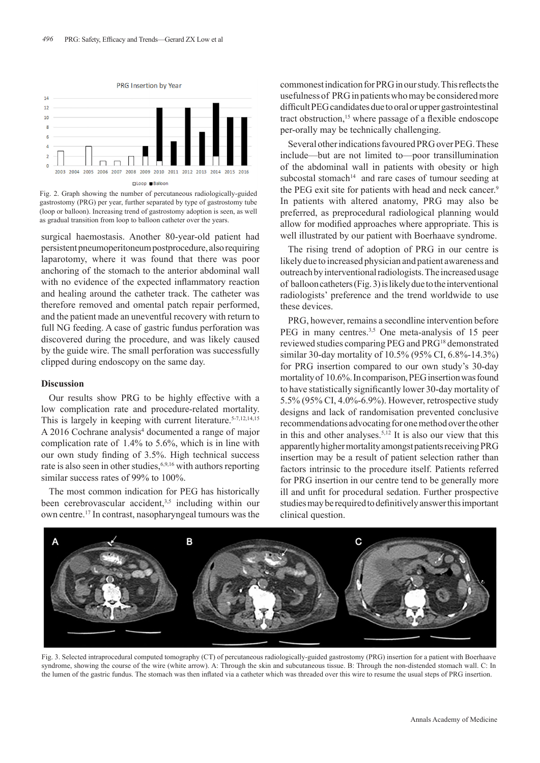

Fig. 2. Graph showing the number of percutaneous radiologically-guided gastrostomy (PRG) per year, further separated by type of gastrostomy tube (loop or balloon). Increasing trend of gastrostomy adoption is seen, as well as gradual transition from loop to balloon catheter over the years.

surgical haemostasis. Another 80-year-old patient had persistent pneumoperitoneum postprocedure, also requiring laparotomy, where it was found that there was poor anchoring of  the stomach to the anterior abdominal wall with no evidence of the expected inflammatory reaction and healing around the catheter track. The catheter was therefore removed and omental patch repair performed, and the patient made an uneventful recovery with return to full NG feeding. A case of  gastric fundus perforation was discovered during the procedure, and was likely caused by the guide wire. The small perforation was successfully clipped during endoscopy on the same day.

### **Discussion**

Our results show PRG to be highly effective with a low complication rate and procedure-related mortality. This is largely in keeping with current literature.<sup>5-7,12,14,15</sup> A 2016 Cochrane analysis<sup>4</sup> documented a range of major complication rate of 1.4% to 5.6%, which is in line with our own study finding of 3.5%. High technical success rate is also seen in other studies,  $6,9,16$  with authors reporting similar success rates of 99% to 100%.

The most common indication for PEG has historically been cerebrovascular accident,<sup>3,5</sup> including within our own centre.17 In contrast, nasopharyngeal tumours was the

commonest indication for PRG in our study. This reflects the usefulness of PRG in patients who may be considered more difficult PEG candidates due to oral or upper gastrointestinal tract obstruction,<sup>15</sup> where passage of a flexible endoscope per-orally may be technically challenging.

Several other indications favoured PRG over PEG. These include—but are not limited to—poor transillumination of the abdominal wall in patients with obesity or high subcostal stomach $14$  and rare cases of tumour seeding at the PEG exit site for patients with head and neck cancer.<sup>9</sup> In patients with altered anatomy, PRG may also be preferred, as preprocedural radiological planning would allow for modified approaches where appropriate. This is well illustrated by our patient with Boerhaave syndrome.

The rising trend of adoption of PRG in our centre is likely due to increased physician and patient awareness and outreach by interventional radiologists. The increased usage of balloon catheters (Fig. 3) is likely due to the interventional radiologists' preference and the trend worldwide to use these devices.

PRG, however, remains a secondline intervention before PEG in many centres.<sup>3,5</sup> One meta-analysis of 15 peer reviewed studies comparing PEG and PRG18 demonstrated similar 30-day mortality of 10.5% (95% CI, 6.8%-14.3%) for PRG insertion compared to our own study's 30-day mortality of 10.6%. In comparison, PEG insertion was found to have statistically significantly lower 30-day mortality of 5.5% (95% CI, 4.0%-6.9%). However, retrospective study designs and lack of randomisation prevented conclusive recommendations advocating for one method over the other in this and other analyses.<sup>5,12</sup> It is also our view that this apparently higher mortality amongst patients receiving PRG insertion may be a result of patient selection rather than factors intrinsic to the procedure itself. Patients referred for PRG insertion in our centre tend to be generally more ill and unfit for procedural sedation. Further prospective studies may be required to definitively answer this important clinical question.



Fig. 3. Selected intraprocedural computed tomography (CT) of percutaneous radiologically-guided gastrostomy (PRG) insertion for a patient with Boerhaave syndrome, showing the course of the wire (white arrow). A: Through the skin and subcutaneous tissue. B: Through the non-distended stomach wall. C: In the lumen of the gastric fundus. The stomach was then inflated via a catheter which was threaded over this wire to resume the usual steps of PRG insertion.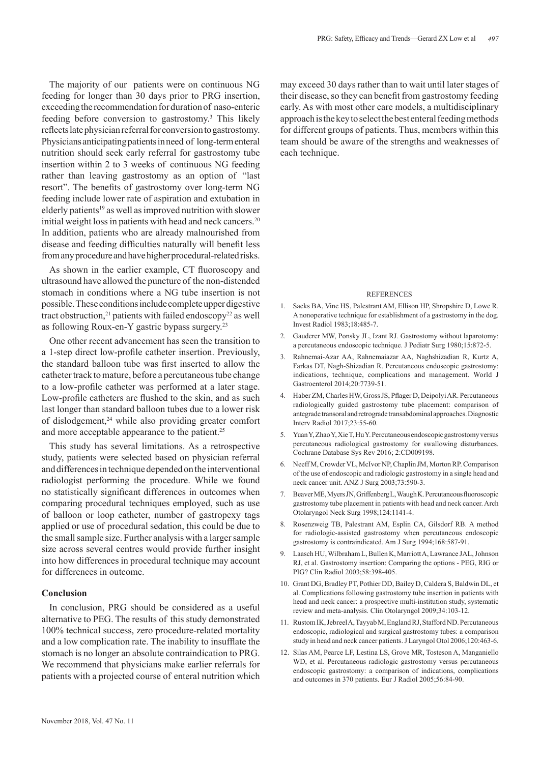The majority of our patients were on continuous NG feeding for longer than 30 days prior to PRG insertion, exceeding the recommendation for duration of naso-enteric feeding before conversion to gastrostomy.<sup>3</sup> This likely reflects late physician referral for conversion to gastrostomy. Physicians anticipating patients in need of  long-term enteral nutrition should seek early referral for gastrostomy tube insertion within 2 to 3 weeks of continuous NG feeding rather than leaving gastrostomy as an option of "last resort". The benefits of gastrostomy over long-term NG feeding include lower rate of aspiration and extubation in elderly patients<sup>19</sup> as well as improved nutrition with slower initial weight loss in patients with head and neck cancers.<sup>20</sup> In addition, patients who are already malnourished from disease and feeding difficulties naturally will benefit less from any procedure and have higher procedural-related risks.

As shown in the earlier example, CT fluoroscopy and ultrasound have allowed the puncture of  the non-distended stomach in conditions where a NG tube insertion is not possible. These conditions include complete upper digestive tract obstruction,<sup>21</sup> patients with failed endoscopy<sup>22</sup> as well as following Roux-en-Y gastric bypass surgery.23

One other recent advancement has seen the transition to a 1-step direct low-profile catheter insertion. Previously, the standard balloon tube was first inserted to allow the catheter track to mature, before a percutaneous tube change to a low-profile catheter was performed at a later stage. Low-profile catheters are flushed to the skin, and as such last longer than standard balloon tubes due to a lower risk of dislodgement,<sup>24</sup> while also providing greater comfort and more acceptable appearance to the patient.<sup>25</sup>

This study has several limitations. As a retrospective study, patients were selected based on physician referral and differences in technique depended on the interventional radiologist performing the procedure. While we found no statistically significant differences in outcomes when comparing procedural techniques employed, such as use of balloon or loop catheter, number of gastropexy tags applied or use of  procedural sedation, this could be due to the small sample size. Further analysis with a larger sample size across several centres would provide further insight into how differences in procedural technique may account for differences in outcome.

## **Conclusion**

In conclusion, PRG should be considered as a useful alternative to PEG. The results of this study demonstrated 100% technical success, zero procedure-related mortality and a low complication rate. The inability to insufflate the stomach is no longer an absolute contraindication to PRG. We recommend that physicians make earlier referrals for patients with a projected course of  enteral nutrition which may exceed 30 days rather than to wait until later stages of their disease, so they can benefit from gastrostomy feeding early. As with most other care models, a multidisciplinary approach is the key to select the best enteral feeding methods for different groups of patients. Thus, members within this team should be aware of the strengths and weaknesses of each technique.

#### **REFERENCES**

- 1. Sacks BA, Vine HS, Palestrant AM, Ellison HP, Shropshire D, Lowe R. A nonoperative technique for establishment of a gastrostomy in the dog. Invest Radiol 1983;18:485-7.
- 2. Gauderer MW, Ponsky JL, Izant RJ. Gastrostomy without laparotomy: a percutaneous endoscopic technique. J Pediatr Surg 1980;15:872-5.
- 3. Rahnemai-Azar AA, Rahnemaiazar AA, Naghshizadian R, Kurtz A, Farkas DT, Nagh-Shizadian R. Percutaneous endoscopic gastrostomy: indications, technique, complications and management. World J Gastroenterol 2014;20:7739-51.
- 4. Haber ZM, Charles HW, Gross JS, Pflager D, Deipolyi AR. Percutaneous radiologically guided gastrostomy tube placement: comparison of antegrade transoral and retrograde transabdominal approaches. Diagnostic Interv Radiol 2017;23:55-60.
- 5. Yuan Y, Zhao Y, Xie T, Hu Y. Percutaneous endoscopic gastrostomy versus percutaneous radiological gastrostomy for swallowing disturbances. Cochrane Database Sys Rev 2016; 2:CD009198.
- 6. Neeff M, Crowder VL, McIvor NP, Chaplin JM, Morton RP. Comparison of the use of endoscopic and radiologic gastrostomy in a single head and neck cancer unit. ANZ J Surg 2003;73:590-3.
- 7. Beaver ME, Myers JN, Griffenberg L, Waugh K. Percutaneous fluoroscopic gastrostomy tube placement in patients with head and neck cancer. Arch Otolaryngol Neck Surg 1998;124:1141-4.
- 8. Rosenzweig TB, Palestrant AM, Esplin CA, Gilsdorf RB. A method for radiologic-assisted gastrostomy when percutaneous endoscopic gastrostomy is contraindicated. Am J Surg 1994;168:587-91.
- 9. Laasch HU, Wilbraham L, Bullen K, Marriott A, Lawrance JAL, Johnson RJ, et al. Gastrostomy insertion: Comparing the options - PEG, RIG or PIG? Clin Radiol 2003;58:398-405.
- 10. Grant DG, Bradley PT, Pothier DD, Bailey D, Caldera S, Baldwin DL, et al. Complications following gastrostomy tube insertion in patients with head and neck cancer: a prospective multi-institution study, systematic review and meta-analysis. Clin Otolaryngol 2009;34:103-12.
- 11. Rustom IK, Jebreel A, Tayyab M, England RJ, Stafford ND. Percutaneous endoscopic, radiological and surgical gastrostomy tubes: a comparison study in head and neck cancer patients. J Laryngol Otol 2006;120:463-6.
- 12. Silas AM, Pearce LF, Lestina LS, Grove MR, Tosteson A, Manganiello WD, et al. Percutaneous radiologic gastrostomy versus percutaneous endoscopic gastrostomy: a comparison of indications, complications and outcomes in 370 patients. Eur J Radiol 2005;56:84-90.